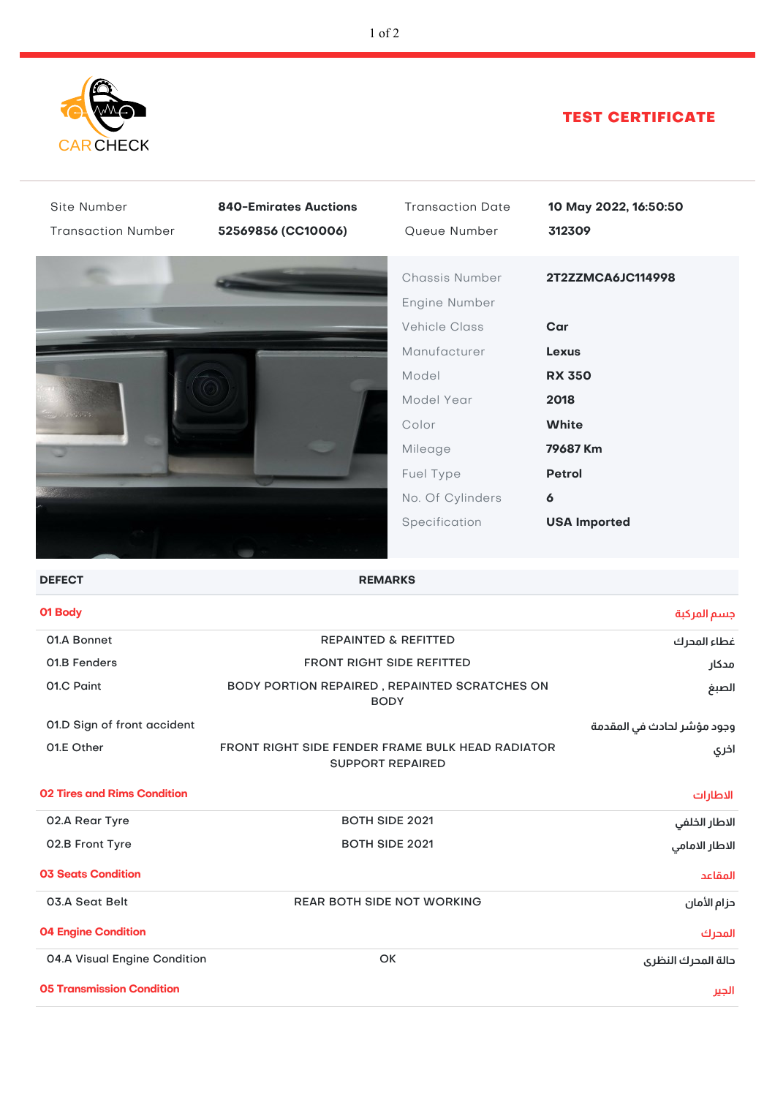

# TEST CERTIFICATE

| Site Number                        | <b>840-Emirates Auctions</b>                                                | <b>Transaction Date</b>         | 10 May 2022, 16:50:50      |
|------------------------------------|-----------------------------------------------------------------------------|---------------------------------|----------------------------|
| <b>Transaction Number</b>          | 52569856 (CC10006)                                                          | Queue Number                    | 312309                     |
|                                    |                                                                             | Chassis Number<br>Engine Number | 2T2ZZMCA6JC114998          |
|                                    |                                                                             | <b>Vehicle Class</b>            | Car                        |
|                                    |                                                                             | Manufacturer                    | <b>Lexus</b>               |
|                                    |                                                                             | Model                           | <b>RX 350</b>              |
|                                    |                                                                             | Model Year                      | 2018                       |
|                                    |                                                                             | Color                           | <b>White</b>               |
|                                    |                                                                             | Mileage                         | 79687 Km                   |
|                                    |                                                                             | Fuel Type                       | <b>Petrol</b>              |
|                                    |                                                                             | No. Of Cylinders                | $\boldsymbol{6}$           |
|                                    |                                                                             | Specification                   | <b>USA Imported</b>        |
|                                    |                                                                             |                                 |                            |
| <b>DEFECT</b>                      | <b>REMARKS</b>                                                              |                                 |                            |
| 01 Body                            |                                                                             |                                 | جسم المركبة                |
| 01.A Bonnet                        | REPAINTED & REFITTED                                                        |                                 | غطاء المحرك                |
| 01.B Fenders                       | <b>FRONT RIGHT SIDE REFITTED</b>                                            |                                 | مدكار                      |
| 01.C Paint                         | BODY PORTION REPAIRED, REPAINTED SCRATCHES ON<br><b>BODY</b>                |                                 | الصبغ                      |
| 01.D Sign of front accident        |                                                                             |                                 | وجود مؤشر لحادث في المقدمة |
| 01.E Other                         | FRONT RIGHT SIDE FENDER FRAME BULK HEAD RADIATOR<br><b>SUPPORT REPAIRED</b> |                                 | اخري                       |
| <b>02 Tires and Rims Condition</b> |                                                                             |                                 | الاطارات                   |
| 02.A Rear Tyre                     | <b>BOTH SIDE 2021</b>                                                       |                                 | الاطار الخلفي              |
| 02.B Front Tyre                    | <b>BOTH SIDE 2021</b>                                                       |                                 | الاطار الامامي             |
| <b>03 Seats Condition</b>          |                                                                             |                                 | المقاعد                    |
| 03.A Seat Belt                     | REAR BOTH SIDE NOT WORKING                                                  |                                 | حزام الأمان                |
| <b>04 Engine Condition</b>         |                                                                             |                                 | المحرك                     |
| 04.A Visual Engine Condition       | OK                                                                          |                                 | دالة المدرك النظرى         |
| <b>05 Transmission Condition</b>   |                                                                             |                                 | الجير                      |
|                                    |                                                                             |                                 |                            |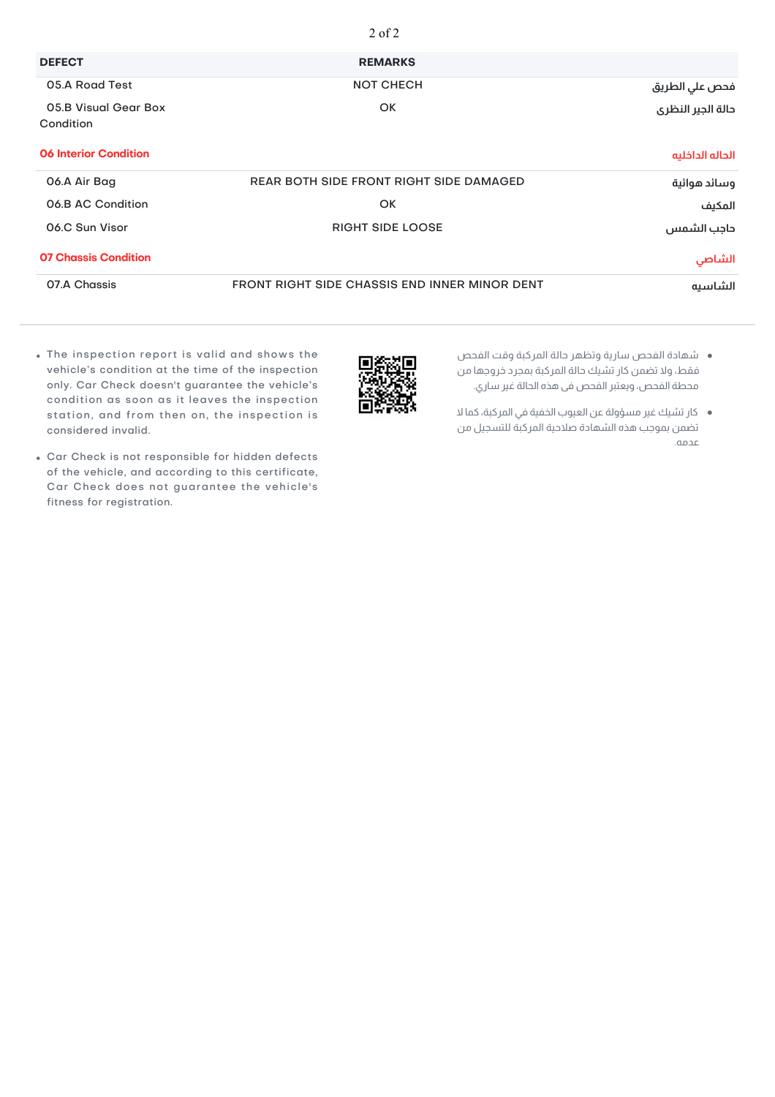|                                   | $2$ of $2$                                           |                   |
|-----------------------------------|------------------------------------------------------|-------------------|
| <b>DEFECT</b>                     | <b>REMARKS</b>                                       |                   |
| 05.A Road Test                    | <b>NOT CHECH</b>                                     | فحص علي الطريق    |
| 05.B Visual Gear Box<br>Condition | <b>OK</b>                                            | دالة الجير النظرى |
| <b>06 Interior Condition</b>      |                                                      | الحاله الداخليه   |
| 06.A Air Bag                      | <b>REAR BOTH SIDE FRONT RIGHT SIDE DAMAGED</b>       | وسائد هوائية      |
| 06.B AC Condition                 | OK                                                   | المكيف            |
| 06.C Sun Visor                    | <b>RIGHT SIDE LOOSE</b>                              | داجب الشمس        |
| <b>07 Chassis Condition</b>       |                                                      | الشاصي            |
| 07.A Chassis                      | <b>FRONT RIGHT SIDE CHASSIS END INNER MINOR DENT</b> | الشاسيه           |

- شهادة الفحص سارية وتظهر حالة المركبة وقت الفحص فقط، ولا تضمن كار تشيك حالة المركبة بمجرد خروجها من محطة الفحص، ويعتبر الفحص فى هذه الحالة غير ساري.
- كار تشيك غير مسؤولة عن العيوب الخفية في المركبة، كما لا تضمن بموجب هذه الشهادة صلاحية المركبة للتسجيل من عدمه.
- The inspection report is valid and shows the vehicle's condition at the time of the inspection only. Car Check doesn't guarantee the vehicle's condition as soon as it leaves the inspection station, and from then on, the inspection is considered invalid.
- Car Check is not responsible for hidden defects of the vehicle, and according to this certificate, Car Check does not guarantee the vehicle's fitness for registration.